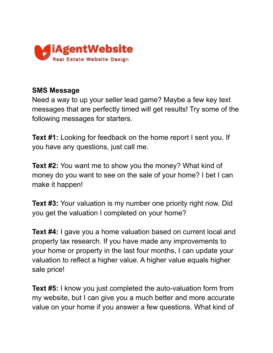

## **SMS Message**

Need a way to up your seller lead game? Maybe a few key text messages that are perfectly timed will get results! Try some of the following messages for starters.

**Text #1:** Looking for feedback on the home report I sent you. If you have any questions, just call me.

**Text #2:** You want me to show you the money? What kind of money do you want to see on the sale of your home? I bet I can make it happen!

**Text #3:** Your valuation is my number one priority right now. Did you get the valuation I completed on your home?

**Text #4:** I gave you a home valuation based on current local and property tax research. If you have made any improvements to your home or property in the last four months, I can update your valuation to reflect a higher value. A higher value equals higher sale price!

**Text #5:** I know you just completed the auto-valuation form from my website, but I can give you a much better and more accurate value on your home if you answer a few questions. What kind of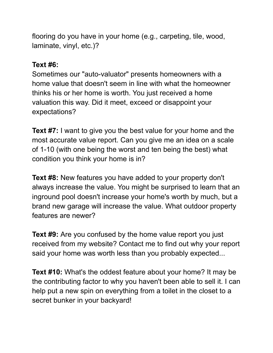flooring do you have in your home (e.g., carpeting, tile, wood, laminate, vinyl, etc.)?

## **Text #6:**

Sometimes our "auto-valuator" presents homeowners with a home value that doesn't seem in line with what the homeowner thinks his or her home is worth. You just received a home valuation this way. Did it meet, exceed or disappoint your expectations?

**Text #7:** I want to give you the best value for your home and the most accurate value report. Can you give me an idea on a scale of 1-10 (with one being the worst and ten being the best) what condition you think your home is in?

**Text #8:** New features you have added to your property don't always increase the value. You might be surprised to learn that an inground pool doesn't increase your home's worth by much, but a brand new garage will increase the value. What outdoor property features are newer?

**Text #9:** Are you confused by the home value report you just received from my website? Contact me to find out why your report said your home was worth less than you probably expected...

**Text #10:** What's the oddest feature about your home? It may be the contributing factor to why you haven't been able to sell it. I can help put a new spin on everything from a toilet in the closet to a secret bunker in your backyard!